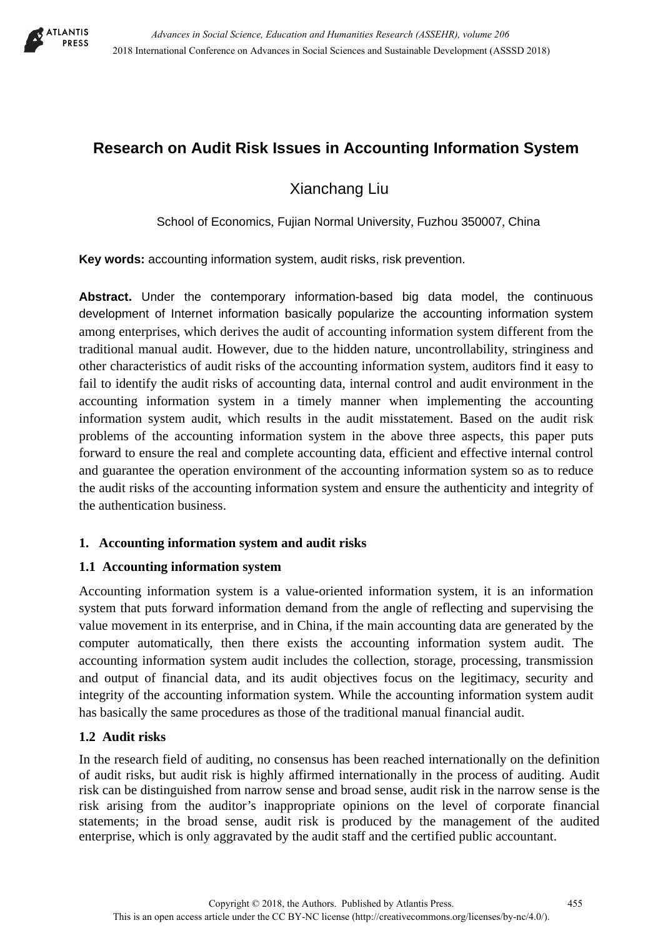

# **Research on Audit Risk Issues in Accounting Information System**

Xianchang Liu

School of Economics, Fujian Normal University, Fuzhou 350007, China

**Key words:** accounting information system, audit risks, risk prevention.

**Abstract.** Under the contemporary information-based big data model, the continuous development of Internet information basically popularize the accounting information system among enterprises, which derives the audit of accounting information system different from the traditional manual audit. However, due to the hidden nature, uncontrollability, stringiness and other characteristics of audit risks of the accounting information system, auditors find it easy to fail to identify the audit risks of accounting data, internal control and audit environment in the accounting information system in a timely manner when implementing the accounting information system audit, which results in the audit misstatement. Based on the audit risk problems of the accounting information system in the above three aspects, this paper puts forward to ensure the real and complete accounting data, efficient and effective internal control and guarantee the operation environment of the accounting information system so as to reduce the audit risks of the accounting information system and ensure the authenticity and integrity of the authentication business.

# **1. Accounting information system and audit risks**

# **1.1 Accounting information system**

Accounting information system is a value-oriented information system, it is an information system that puts forward information demand from the angle of reflecting and supervising the value movement in its enterprise, and in China, if the main accounting data are generated by the computer automatically, then there exists the accounting information system audit. The accounting information system audit includes the collection, storage, processing, transmission and output of financial data, and its audit objectives focus on the legitimacy, security and integrity of the accounting information system. While the accounting information system audit has basically the same procedures as those of the traditional manual financial audit.

# **1.2 Audit risks**

In the research field of auditing, no consensus has been reached internationally on the definition of audit risks, but audit risk is highly affirmed internationally in the process of auditing. Audit risk can be distinguished from narrow sense and broad sense, audit risk in the narrow sense is the risk arising from the auditor's inappropriate opinions on the level of corporate financial statements; in the broad sense, audit risk is produced by the management of the audited enterprise, which is only aggravated by the audit staff and the certified public accountant.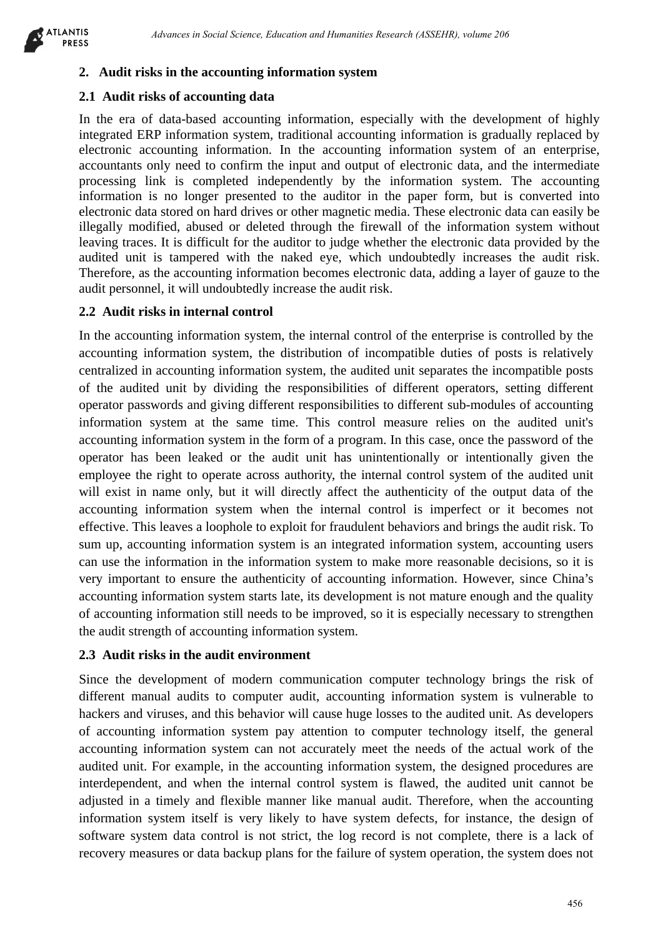

## **2. Audit risks in the accounting information system**

#### **2.1 Audit risks of accounting data**

In the era of data-based accounting information, especially with the development of highly integrated ERP information system, traditional accounting information is gradually replaced by electronic accounting information. In the accounting information system of an enterprise, accountants only need to confirm the input and output of electronic data, and the intermediate processing link is completed independently by the information system. The accounting information is no longer presented to the auditor in the paper form, but is converted into electronic data stored on hard drives or other magnetic media. These electronic data can easily be illegally modified, abused or deleted through the firewall of the information system without leaving traces. It is difficult for the auditor to judge whether the electronic data provided by the audited unit is tampered with the naked eye, which undoubtedly increases the audit risk. Therefore, as the accounting information becomes electronic data, adding a layer of gauze to the audit personnel, it will undoubtedly increase the audit risk.

## **2.2 Audit risks in internal control**

In the accounting information system, the internal control of the enterprise is controlled by the accounting information system, the distribution of incompatible duties of posts is relatively centralized in accounting information system, the audited unit separates the incompatible posts of the audited unit by dividing the responsibilities of different operators, setting different operator passwords and giving different responsibilities to different sub-modules of accounting information system at the same time. This control measure relies on the audited unit's accounting information system in the form of a program. In this case, once the password of the operator has been leaked or the audit unit has unintentionally or intentionally given the employee the right to operate across authority, the internal control system of the audited unit will exist in name only, but it will directly affect the authenticity of the output data of the accounting information system when the internal control is imperfect or it becomes not effective. This leaves a loophole to exploit for fraudulent behaviors and brings the audit risk. To sum up, accounting information system is an integrated information system, accounting users can use the information in the information system to make more reasonable decisions, so it is very important to ensure the authenticity of accounting information. However, since China's accounting information system starts late, its development is not mature enough and the quality of accounting information still needs to be improved, so it is especially necessary to strengthen the audit strength of accounting information system. *Absence in Social Science, Education in Humanitos Besorvi (43382HR), where 266<br>
As a fit concentring that the metallical sconting information and Humanities in Social Science of the development of the<br>
<i>Advance of a accou* 

#### **2.3 Audit risks in the audit environment**

Since the development of modern communication computer technology brings the risk of different manual audits to computer audit, accounting information system is vulnerable to hackers and viruses, and this behavior will cause huge losses to the audited unit. As developers of accounting information system pay attention to computer technology itself, the general accounting information system can not accurately meet the needs of the actual work of the audited unit. For example, in the accounting information system, the designed procedures are interdependent, and when the internal control system is flawed, the audited unit cannot be adjusted in a timely and flexible manner like manual audit. Therefore, when the accounting information system itself is very likely to have system defects, for instance, the design of software system data control is not strict, the log record is not complete, there is a lack of recovery measures or data backup plans for the failure of system operation, the system does not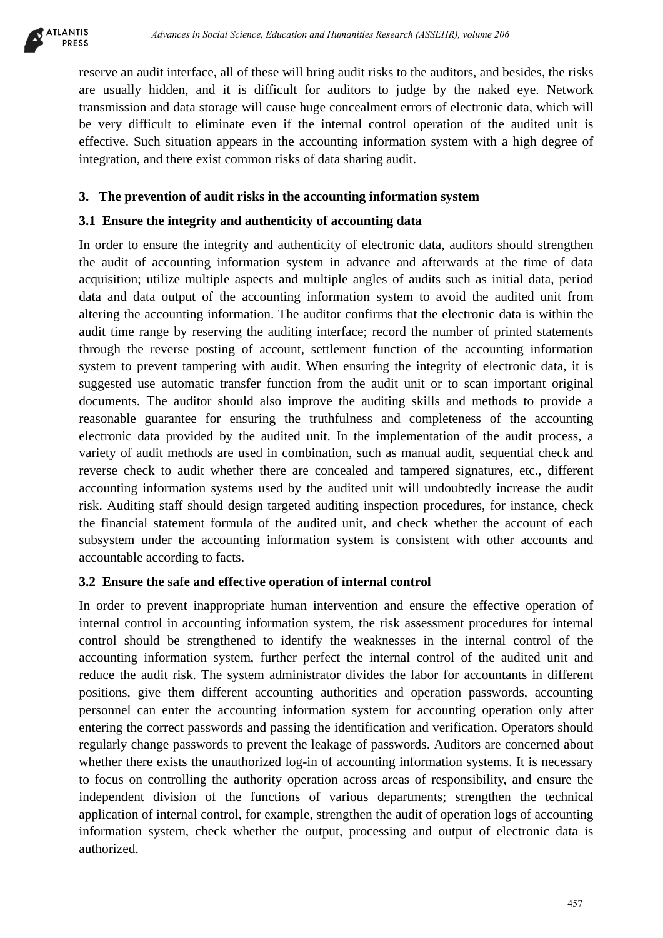

reserve an audit interface, all of these will bring audit risks to the auditors, and besides, the risks are usually hidden, and it is difficult for auditors to judge by the naked eye. Network transmission and data storage will cause huge concealment errors of electronic data, which will be very difficult to eliminate even if the internal control operation of the audited unit is effective. Such situation appears in the accounting information system with a high degree of integration, and there exist common risks of data sharing audit.

# **3. The prevention of audit risks in the accounting information system**

### **3.1 Ensure the integrity and authenticity of accounting data**

In order to ensure the integrity and authenticity of electronic data, auditors should strengthen the audit of accounting information system in advance and afterwards at the time of data acquisition; utilize multiple aspects and multiple angles of audits such as initial data, period data and data output of the accounting information system to avoid the audited unit from altering the accounting information. The auditor confirms that the electronic data is within the audit time range by reserving the auditing interface; record the number of printed statements through the reverse posting of account, settlement function of the accounting information system to prevent tampering with audit. When ensuring the integrity of electronic data, it is suggested use automatic transfer function from the audit unit or to scan important original documents. The auditor should also improve the auditing skills and methods to provide a reasonable guarantee for ensuring the truthfulness and completeness of the accounting electronic data provided by the audited unit. In the implementation of the audit process, a variety of audit methods are used in combination, such as manual audit, sequential check and reverse check to audit whether there are concealed and tampered signatures, etc., different accounting information systems used by the audited unit will undoubtedly increase the audit risk. Auditing staff should design targeted auditing inspection procedures, for instance, check the financial statement formula of the audited unit, and check whether the account of each subsystem under the accounting information system is consistent with other accounts and accountable according to facts. debenera is becoming the debenera *Character* in Society in Constantinuo and Humanities Research (assemblance) and the social Science of electronic and besides, the risting including and the social Science of electronic an

#### **3.2 Ensure the safe and effective operation of internal control**

In order to prevent inappropriate human intervention and ensure the effective operation of internal control in accounting information system, the risk assessment procedures for internal control should be strengthened to identify the weaknesses in the internal control of the accounting information system, further perfect the internal control of the audited unit and reduce the audit risk. The system administrator divides the labor for accountants in different positions, give them different accounting authorities and operation passwords, accounting personnel can enter the accounting information system for accounting operation only after entering the correct passwords and passing the identification and verification. Operators should regularly change passwords to prevent the leakage of passwords. Auditors are concerned about whether there exists the unauthorized log-in of accounting information systems. It is necessary to focus on controlling the authority operation across areas of responsibility, and ensure the independent division of the functions of various departments; strengthen the technical application of internal control, for example, strengthen the audit of operation logs of accounting information system, check whether the output, processing and output of electronic data is authorized.